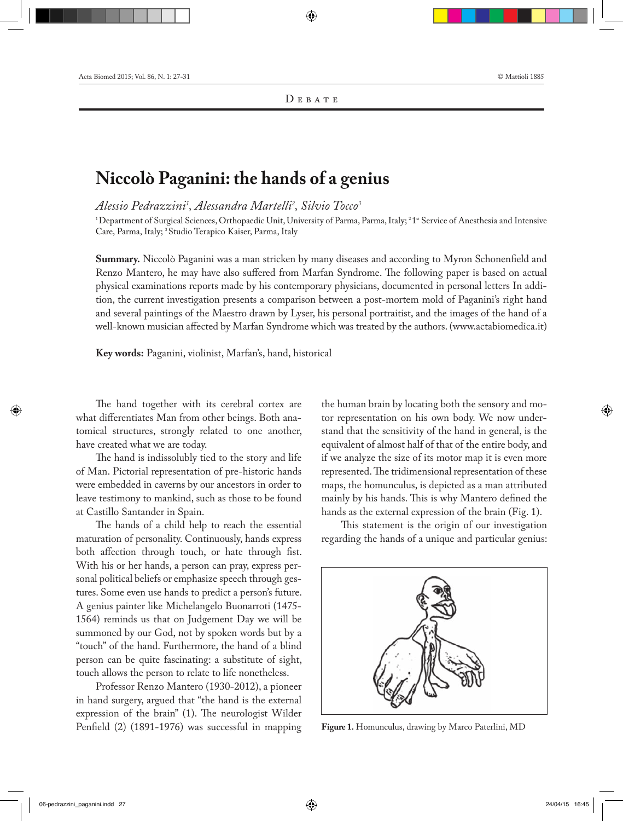## **Niccolò Paganini: the hands of a genius**

*Alessio Pedrazzini1 , Alessandra Martelli2 , Silvio Tocco3*

<sup>1</sup>Department of Surgical Sciences, Orthopaedic Unit, University of Parma, Parma, Italy; <sup>2</sup>1<sup>\*</sup> Service of Anesthesia and Intensive Care, Parma, Italy; <sup>3</sup> Studio Terapico Kaiser, Parma, Italy

**Summary.** Niccolò Paganini was a man stricken by many diseases and according to Myron Schonenfield and Renzo Mantero, he may have also suffered from Marfan Syndrome. The following paper is based on actual physical examinations reports made by his contemporary physicians, documented in personal letters In addition, the current investigation presents a comparison between a post-mortem mold of Paganini's right hand and several paintings of the Maestro drawn by Lyser, his personal portraitist, and the images of the hand of a well-known musician affected by Marfan Syndrome which was treated by the authors. (www.actabiomedica.it)

**Key words:** Paganini, violinist, Marfan's, hand, historical

The hand together with its cerebral cortex are what differentiates Man from other beings. Both anatomical structures, strongly related to one another, have created what we are today.

The hand is indissolubly tied to the story and life of Man. Pictorial representation of pre-historic hands were embedded in caverns by our ancestors in order to leave testimony to mankind, such as those to be found at Castillo Santander in Spain.

The hands of a child help to reach the essential maturation of personality. Continuously, hands express both affection through touch, or hate through fist. With his or her hands, a person can pray, express personal political beliefs or emphasize speech through gestures. Some even use hands to predict a person's future. A genius painter like Michelangelo Buonarroti (1475- 1564) reminds us that on Judgement Day we will be summoned by our God, not by spoken words but by a "touch" of the hand. Furthermore, the hand of a blind person can be quite fascinating: a substitute of sight, touch allows the person to relate to life nonetheless.

Professor Renzo Mantero (1930-2012), a pioneer in hand surgery, argued that "the hand is the external expression of the brain" (1). The neurologist Wilder Penfield (2) (1891-1976) was successful in mapping

the human brain by locating both the sensory and motor representation on his own body. We now understand that the sensitivity of the hand in general, is the equivalent of almost half of that of the entire body, and if we analyze the size of its motor map it is even more represented. The tridimensional representation of these maps, the homunculus, is depicted as a man attributed mainly by his hands. This is why Mantero defined the hands as the external expression of the brain (Fig. 1).

This statement is the origin of our investigation regarding the hands of a unique and particular genius:



**Figure 1.** Homunculus, drawing by Marco Paterlini, MD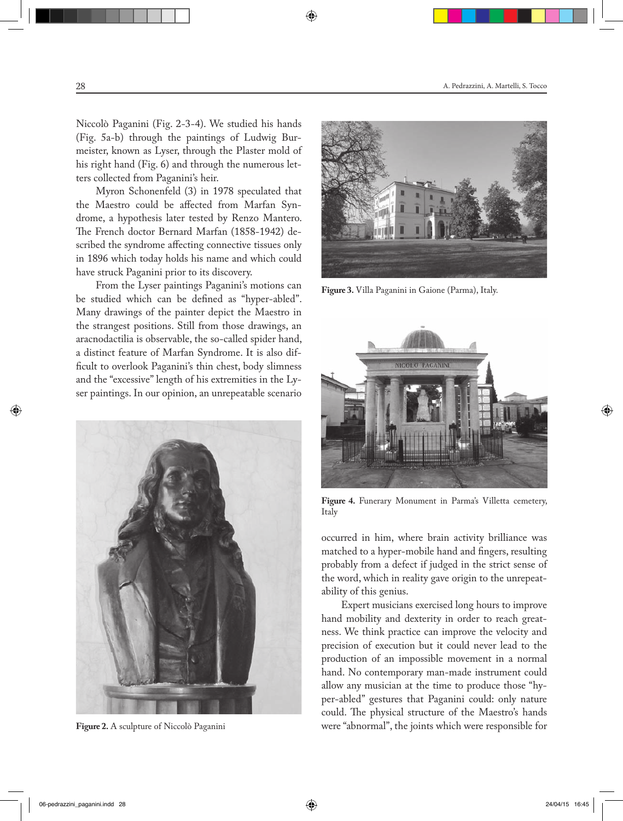Niccolò Paganini (Fig. 2-3-4). We studied his hands (Fig. 5a-b) through the paintings of Ludwig Burmeister, known as Lyser, through the Plaster mold of his right hand (Fig. 6) and through the numerous letters collected from Paganini's heir.

Myron Schonenfeld (3) in 1978 speculated that the Maestro could be affected from Marfan Syndrome, a hypothesis later tested by Renzo Mantero. The French doctor Bernard Marfan (1858-1942) described the syndrome affecting connective tissues only in 1896 which today holds his name and which could have struck Paganini prior to its discovery.

From the Lyser paintings Paganini's motions can be studied which can be defined as "hyper-abled". Many drawings of the painter depict the Maestro in the strangest positions. Still from those drawings, an aracnodactilia is observable, the so-called spider hand, a distinct feature of Marfan Syndrome. It is also difficult to overlook Paganini's thin chest, body slimness and the "excessive" length of his extremities in the Lyser paintings. In our opinion, an unrepeatable scenario





**Figure 3.** Villa Paganini in Gaione (Parma), Italy.



**Figure 4.** Funerary Monument in Parma's Villetta cemetery, Italy

occurred in him, where brain activity brilliance was matched to a hyper-mobile hand and fingers, resulting probably from a defect if judged in the strict sense of the word, which in reality gave origin to the unrepeatability of this genius.

Expert musicians exercised long hours to improve hand mobility and dexterity in order to reach greatness. We think practice can improve the velocity and precision of execution but it could never lead to the production of an impossible movement in a normal hand. No contemporary man-made instrument could allow any musician at the time to produce those "hyper-abled" gestures that Paganini could: only nature could. The physical structure of the Maestro's hands **Figure 2.** A sculpture of Niccolò Paganini were "abnormal", the joints which were responsible for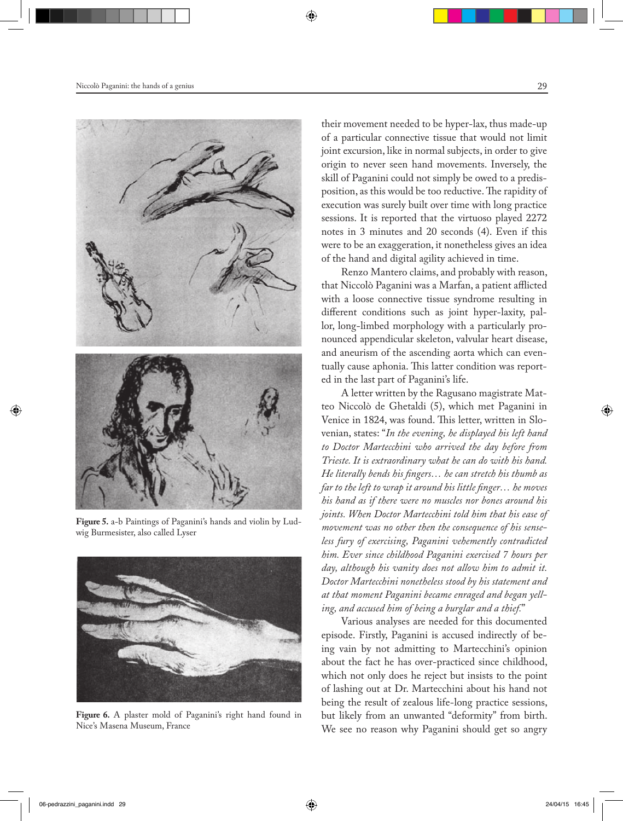

**Figure 5.** a-b Paintings of Paganini's hands and violin by Ludwig Burmesister, also called Lyser



**Figure 6.** A plaster mold of Paganini's right hand found in Nice's Masena Museum, France

their movement needed to be hyper-lax, thus made-up of a particular connective tissue that would not limit joint excursion, like in normal subjects, in order to give origin to never seen hand movements. Inversely, the skill of Paganini could not simply be owed to a predisposition, as this would be too reductive. The rapidity of execution was surely built over time with long practice sessions. It is reported that the virtuoso played 2272 notes in 3 minutes and 20 seconds (4). Even if this were to be an exaggeration, it nonetheless gives an idea of the hand and digital agility achieved in time.

Renzo Mantero claims, and probably with reason, that Niccolò Paganini was a Marfan, a patient afflicted with a loose connective tissue syndrome resulting in different conditions such as joint hyper-laxity, pallor, long-limbed morphology with a particularly pronounced appendicular skeleton, valvular heart disease, and aneurism of the ascending aorta which can eventually cause aphonia. This latter condition was reported in the last part of Paganini's life.

A letter written by the Ragusano magistrate Matteo Niccolò de Ghetaldi (5), which met Paganini in Venice in 1824, was found. This letter, written in Slovenian, states: "*In the evening, he displayed his left hand to Doctor Martecchini who arrived the day before from Trieste. It is extraordinary what he can do with his hand. He literally bends his fingers… he can stretch his thumb as far to the left to wrap it around his little finger… he moves his hand as if there were no muscles nor bones around his joints. When Doctor Martecchini told him that his ease of movement was no other then the consequence of his senseless fury of exercising, Paganini vehemently contradicted him. Ever since childhood Paganini exercised 7 hours per day, although his vanity does not allow him to admit it. Doctor Martecchini nonetheless stood by his statement and at that moment Paganini became enraged and began yelling, and accused him of being a burglar and a thief.*"

Various analyses are needed for this documented episode. Firstly, Paganini is accused indirectly of being vain by not admitting to Martecchini's opinion about the fact he has over-practiced since childhood, which not only does he reject but insists to the point of lashing out at Dr. Martecchini about his hand not being the result of zealous life-long practice sessions, but likely from an unwanted "deformity" from birth. We see no reason why Paganini should get so angry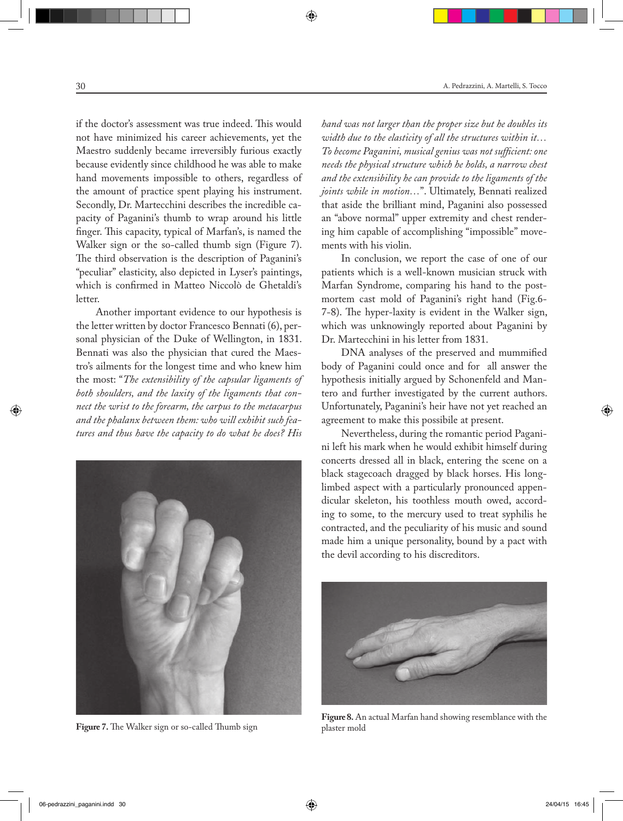if the doctor's assessment was true indeed. This would not have minimized his career achievements, yet the Maestro suddenly became irreversibly furious exactly because evidently since childhood he was able to make hand movements impossible to others, regardless of the amount of practice spent playing his instrument. Secondly, Dr. Martecchini describes the incredible capacity of Paganini's thumb to wrap around his little finger. This capacity, typical of Marfan's, is named the Walker sign or the so-called thumb sign (Figure 7). The third observation is the description of Paganini's "peculiar" elasticity, also depicted in Lyser's paintings, which is confirmed in Matteo Niccolò de Ghetaldi's letter.

Another important evidence to our hypothesis is the letter written by doctor Francesco Bennati (6), personal physician of the Duke of Wellington, in 1831. Bennati was also the physician that cured the Maestro's ailments for the longest time and who knew him the most: "*The extensibility of the capsular ligaments of both shoulders, and the laxity of the ligaments that connect the wrist to the forearm, the carpus to the metacarpus and the phalanx between them: who will exhibit such features and thus have the capacity to do what he does? His* 



**Figure 7.** The Walker sign or so-called Thumb sign

*hand was not larger than the proper size but he doubles its width due to the elasticity of all the structures within it… To become Paganini, musical genius was not sufficient: one needs the physical structure which he holds, a narrow chest and the extensibility he can provide to the ligaments of the joints while in motion…*". Ultimately, Bennati realized that aside the brilliant mind, Paganini also possessed an "above normal" upper extremity and chest rendering him capable of accomplishing "impossible" movements with his violin.

In conclusion, we report the case of one of our patients which is a well-known musician struck with Marfan Syndrome, comparing his hand to the postmortem cast mold of Paganini's right hand (Fig.6- 7-8). The hyper-laxity is evident in the Walker sign, which was unknowingly reported about Paganini by Dr. Martecchini in his letter from 1831.

DNA analyses of the preserved and mummified body of Paganini could once and for all answer the hypothesis initially argued by Schonenfeld and Mantero and further investigated by the current authors. Unfortunately, Paganini's heir have not yet reached an agreement to make this possibile at present.

Nevertheless, during the romantic period Paganini left his mark when he would exhibit himself during concerts dressed all in black, entering the scene on a black stagecoach dragged by black horses. His longlimbed aspect with a particularly pronounced appendicular skeleton, his toothless mouth owed, according to some, to the mercury used to treat syphilis he contracted, and the peculiarity of his music and sound made him a unique personality, bound by a pact with the devil according to his discreditors.



**Figure 8.** An actual Marfan hand showing resemblance with the plaster mold